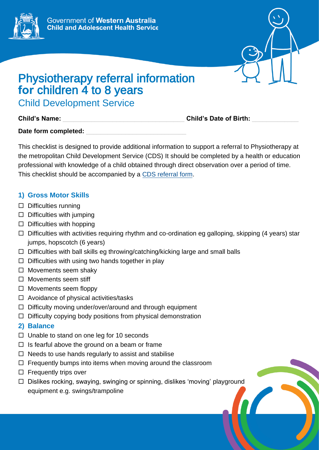



## Physiotherapy referral information for children 4 to 8 years

Child Development Service

**Child's Name:** \_\_\_\_\_\_\_\_\_\_\_\_\_\_\_\_\_\_\_\_\_\_\_\_\_\_\_\_\_\_\_\_\_\_ **Child's Date of Birth:** \_\_\_\_\_\_\_\_\_\_\_\_\_

Date form completed:

This checklist is designed to provide additional information to support a referral to Physiotherapy at the metropolitan Child Development Service (CDS) It should be completed by a health or education professional with knowledge of a child obtained through direct observation over a period of time. This checklist should be accompanied by a [CDS referral form.](https://cahs.health.wa.gov.au/our-services/community-health/child-development-service/eligibility-and-referrals)

## **1) Gross Motor Skills**

- $\square$  Difficulties running
- $\Box$  Difficulties with jumping
- $\Box$  Difficulties with hopping
- $\Box$  Difficulties with activities requiring rhythm and co-ordination eg galloping, skipping (4 years) star jumps, hopscotch (6 years)
- $\Box$  Difficulties with ball skills eg throwing/catching/kicking large and small balls
- $\Box$  Difficulties with using two hands together in play
- $\Box$  Movements seem shaky
- $\Box$  Movements seem stiff
- $\Box$  Movements seem floppy
- $\Box$  Avoidance of physical activities/tasks
- $\Box$  Difficulty moving under/over/around and through equipment
- $\Box$  Difficulty copying body positions from physical demonstration
- **2) Balance**
- $\Box$  Unable to stand on one leg for 10 seconds
- $\Box$  Is fearful above the ground on a beam or frame
- $\Box$  Needs to use hands regularly to assist and stabilise
- $\Box$  Frequently bumps into items when moving around the classroom
- $\Box$  Frequently trips over
- $\Box$  Dislikes rocking, swaying, swinging or spinning, dislikes 'moving' playground equipment e.g. swings/trampoline